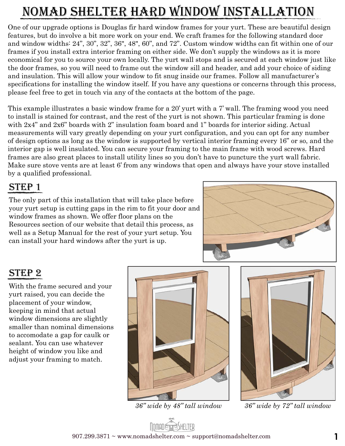# nomad shelter hard window installation

One of our upgrade options is Douglas fir hard window frames for your yurt. These are beautiful design features, but do involve a bit more work on your end. We craft frames for the following standard door and window widths: 24", 30", 32", 36", 48", 60", and 72". Custom window widths can fit within one of our frames if you install extra interior framing on either side. We don't supply the windows as it is more economical for you to source your own locally. The yurt wall stops and is secured at each window just like the door frames, so you will need to frame out the window sill and header, and add your choice of siding and insulation. This will allow your window to fit snug inside our frames. Follow all manufacturer's specifications for installing the window itself. If you have any questions or concerns through this process, please feel free to get in touch via any of the contacts at the bottom of the page.

This example illustrates a basic window frame for a 20' yurt with a 7' wall. The framing wood you need to install is stained for contrast, and the rest of the yurt is not shown. This particular framing is done with 2x4" and 2x6" boards with 2" insulation foam board and 1" boards for interior siding. Actual measurements will vary greatly depending on your yurt configuration, and you can opt for any number of design options as long as the window is supported by vertical interior framing every 16" or so, and the interior gap is well insulated. You can secure your framing to the main frame with wood screws. Hard frames are also great places to install utility lines so you don't have to puncture the yurt wall fabric. Make sure stove vents are at least 6' from any windows that open and always have your stove installed by a qualified professional.

### STEP 1

The only part of this installation that will take place before your yurt setup is cutting gaps in the rim to fit your door and window frames as shown. We offer floor plans on the Resources section of our website that detail this process, as well as a Setup Manual for the rest of your yurt setup. You can install your hard windows after the yurt is up.



### step 2

With the frame secured and your yurt raised, you can decide the placement of your window, keeping in mind that actual window dimensions are slightly smaller than nominal dimensions to accomodate a gap for caulk or sealant. You can use whatever height of window you like and adjust your framing to match.



*36" wide by 48" tall window*



*36" wide by 72" tall window*